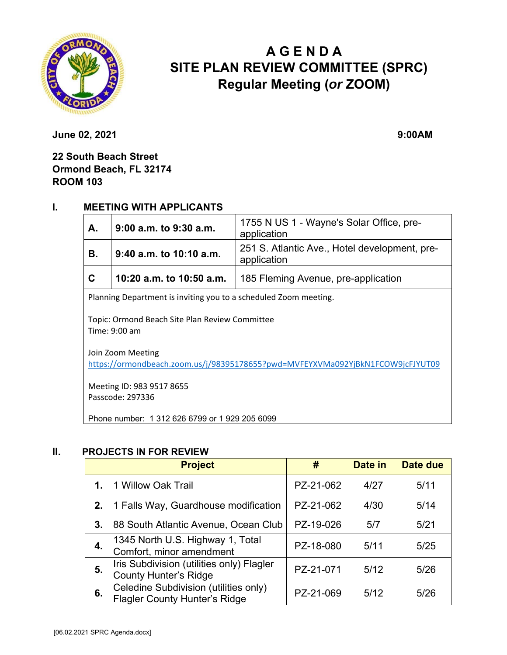

# **A G E N D A SITE PLAN REVIEW COMMITTEE (SPRC) Regular Meeting (***or* **ZOOM)**

**June 02, 2021** 9:00AM

**22 South Beach Street Ormond Beach, FL 32174 ROOM 103**

#### **I. MEETING WITH APPLICANTS**

| A.                                                               | 9:00 a.m. to 9:30 a.m.   | 1755 N US 1 - Wayne's Solar Office, pre-<br>application      |  |  |
|------------------------------------------------------------------|--------------------------|--------------------------------------------------------------|--|--|
| В.                                                               | 9:40 a.m. to 10:10 a.m.  | 251 S. Atlantic Ave., Hotel development, pre-<br>application |  |  |
| $\mathbf C$                                                      | 10:20 a.m. to 10:50 a.m. | 185 Fleming Avenue, pre-application                          |  |  |
| Dlanning Department is in jting vou to a schooluled Zoom meeting |                          |                                                              |  |  |

Planning Department is inviting you to a scheduled Zoom meeting.

Topic: Ormond Beach Site Plan Review Committee Time: 9:00 am

Join Zoom Meeting https://ormondbeach.zoom.us/j/98395178655?pwd=MVFEYXVMa092YjBkN1FCOW9jcFJYUT09

Meeting ID: 983 9517 8655 Passcode: 297336

Phone number: 1 312 626 6799 or 1 929 205 6099

#### **II. PROJECTS IN FOR REVIEW**

|    | <b>Project</b>                                                                | #         | Date in | Date due |
|----|-------------------------------------------------------------------------------|-----------|---------|----------|
| 1. | 1 Willow Oak Trail                                                            | PZ-21-062 | 4/27    | 5/11     |
| 2. | 1 Falls Way, Guardhouse modification                                          | PZ-21-062 | 4/30    | 5/14     |
| 3. | 88 South Atlantic Avenue, Ocean Club                                          | PZ-19-026 | 5/7     | 5/21     |
| 4. | 1345 North U.S. Highway 1, Total<br>Comfort, minor amendment                  | PZ-18-080 | 5/11    | 5/25     |
| 5. | Iris Subdivision (utilities only) Flagler<br><b>County Hunter's Ridge</b>     | PZ-21-071 | 5/12    | 5/26     |
| 6. | Celedine Subdivision (utilities only)<br><b>Flagler County Hunter's Ridge</b> | PZ-21-069 | 5/12    | 5/26     |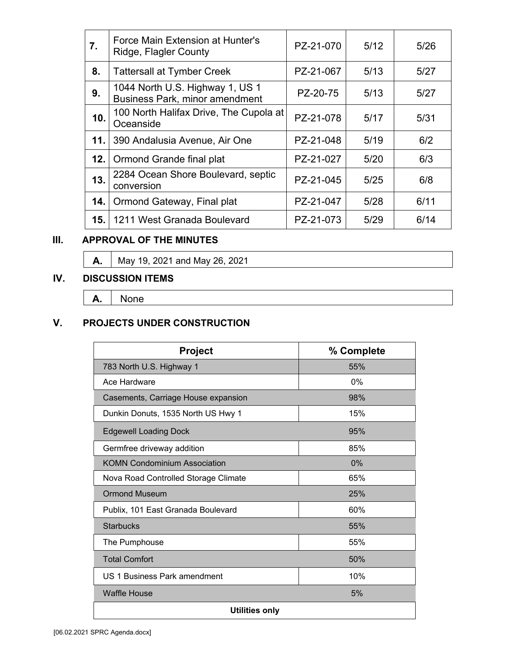| 7.   | Force Main Extension at Hunter's<br>Ridge, Flagler County                | PZ-21-070 | 5/12 | 5/26 |
|------|--------------------------------------------------------------------------|-----------|------|------|
| 8.   | <b>Tattersall at Tymber Creek</b>                                        | PZ-21-067 | 5/13 | 5/27 |
| 9.   | 1044 North U.S. Highway 1, US 1<br><b>Business Park, minor amendment</b> | PZ-20-75  | 5/13 | 5/27 |
| 10.  | 100 North Halifax Drive, The Cupola at<br>Oceanside                      | PZ-21-078 | 5/17 | 5/31 |
| 11.1 | 390 Andalusia Avenue, Air One                                            | PZ-21-048 | 5/19 | 6/2  |
| 12.  | Ormond Grande final plat                                                 | PZ-21-027 | 5/20 | 6/3  |
| 13.  | 2284 Ocean Shore Boulevard, septic<br>conversion                         | PZ-21-045 | 5/25 | 6/8  |
| 14.  | Ormond Gateway, Final plat                                               | PZ-21-047 | 5/28 | 6/11 |
| 15.  | 1211 West Granada Boulevard                                              | PZ-21-073 | 5/29 | 6/14 |

# **III. APPROVAL OF THE MINUTES**

**A.** May 19, 2021 and May 26, 2021

#### **IV. DISCUSSION ITEMS**

**A.**  None

## **V. PROJECTS UNDER CONSTRUCTION**

| Project                              | % Complete |  |
|--------------------------------------|------------|--|
| 783 North U.S. Highway 1             | 55%        |  |
| Ace Hardware                         | 0%         |  |
| Casements, Carriage House expansion  | 98%        |  |
| Dunkin Donuts, 1535 North US Hwy 1   | 15%        |  |
| <b>Edgewell Loading Dock</b>         | 95%        |  |
| Germfree driveway addition           | 85%        |  |
| <b>KOMN Condominium Association</b>  | 0%         |  |
| Nova Road Controlled Storage Climate | 65%        |  |
| <b>Ormond Museum</b>                 | 25%        |  |
| Publix, 101 East Granada Boulevard   | 60%        |  |
| <b>Starbucks</b>                     | 55%        |  |
| The Pumphouse                        | 55%        |  |
| <b>Total Comfort</b>                 | 50%        |  |
| US 1 Business Park amendment         | 10%        |  |
| <b>Waffle House</b>                  | 5%         |  |
| <b>Utilities only</b>                |            |  |